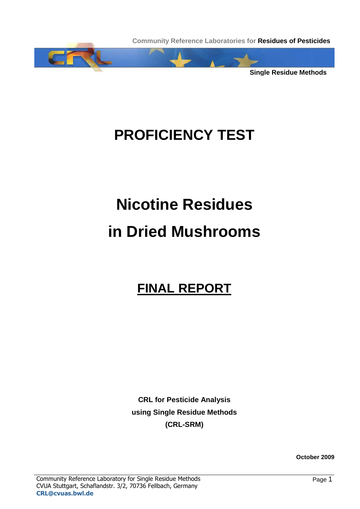

# **PROFICIENCY TEST**

# **Nicotine Residues in Dried Mushrooms**

## **FINAL REPORT**

**CRL for Pesticide Analysis using Single Residue Methods (CRL-SRM)** 

**October 2009**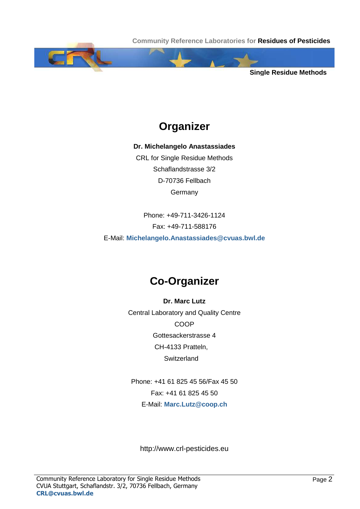**Single Residue Methods**

## **Organizer**

**Dr. Michelangelo Anastassiades** 

CRL for Single Residue Methods Schaflandstrasse 3/2 D-70736 Fellbach **Germany** 

Phone: +49-711-3426-1124 Fax: +49-711-588176 E-Mail: **Michelangelo.Anastassiades@cvuas.bwl.de**

### **Co-Organizer**

**Dr. Marc Lutz**  Central Laboratory and Quality Centre COOP Gottesackerstrasse 4 CH-4133 Pratteln, **Switzerland** 

Phone: +41 61 825 45 56/Fax 45 50 Fax: +41 61 825 45 50 E-Mail: **Marc.Lutz@coop.ch**

http://www.crl-pesticides.eu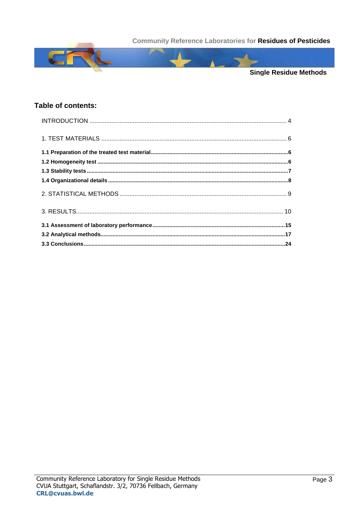

#### Table of contents: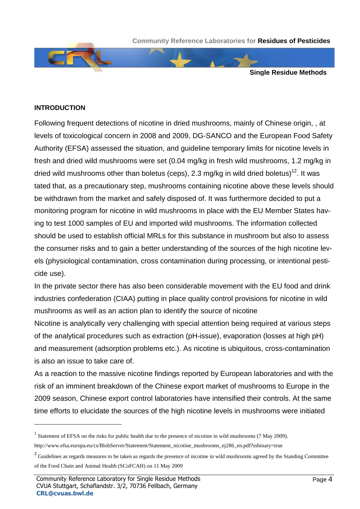**Single Residue Methods**

#### **INTRODUCTION**

l

Following frequent detections of nicotine in dried mushrooms, mainly of Chinese origin, , at levels of toxicological concern in 2008 and 2009, DG-SANCO and the European Food Safety Authority (EFSA) assessed the situation, and guideline temporary limits for nicotine levels in fresh and dried wild mushrooms were set (0.04 mg/kg in fresh wild mushrooms, 1.2 mg/kg in dried wild mushrooms other than boletus (ceps), 2.3 mg/kg in wild dried boletus)<sup>12</sup>. It was tated that, as a precautionary step, mushrooms containing nicotine above these levels should be withdrawn from the market and safely disposed of. It was furthermore decided to put a monitoring program for nicotine in wild mushrooms in place with the EU Member States having to test 1000 samples of EU and imported wild mushrooms. The information collected should be used to establish official MRLs for this substance in mushroom but also to assess the consumer risks and to gain a better understanding of the sources of the high nicotine levels (physiological contamination, cross contamination during processing, or intentional pesticide use).

In the private sector there has also been considerable movement with the EU food and drink industries confederation (CIAA) putting in place quality control provisions for nicotine in wild mushrooms as well as an action plan to identify the source of nicotine

Nicotine is analytically very challenging with special attention being required at various steps of the analytical procedures such as extraction (pH-issue), evaporation (losses at high pH) and measurement (adsorption problems etc.). As nicotine is ubiquitous, cross-contamination is also an issue to take care of.

As a reaction to the massive nicotine findings reported by European laboratories and with the risk of an imminent breakdown of the Chinese export market of mushrooms to Europe in the 2009 season, Chinese export control laboratories have intensified their controls. At the same time efforts to elucidate the sources of the high nicotine levels in mushrooms were initiated

<sup>&</sup>lt;sup>1</sup> Statement of EFSA on the risks for public health due to the presence of nicotine in wild mushrooms (7 May 2009).

http://www.efsa.europa.eu/cs/BlobServer/Statement/Statement\_nicotine\_mushrooms\_ej286\_en.pdf?ssbinary=true

<sup>&</sup>lt;sup>2</sup> Guidelines as regards measures to be taken as regards the presence of nicotine in wild mushrooms agreed by the Standing Committee of the Food Chain and Animal Health (SCoFCAH) on 11 May 2009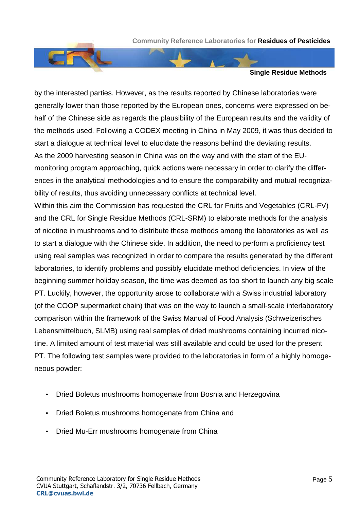



by the interested parties. However, as the results reported by Chinese laboratories were generally lower than those reported by the European ones, concerns were expressed on behalf of the Chinese side as regards the plausibility of the European results and the validity of the methods used. Following a CODEX meeting in China in May 2009, it was thus decided to start a dialogue at technical level to elucidate the reasons behind the deviating results. As the 2009 harvesting season in China was on the way and with the start of the EUmonitoring program approaching, quick actions were necessary in order to clarify the differences in the analytical methodologies and to ensure the comparability and mutual recognizability of results, thus avoiding unnecessary conflicts at technical level.

Within this aim the Commission has requested the CRL for Fruits and Vegetables (CRL-FV) and the CRL for Single Residue Methods (CRL-SRM) to elaborate methods for the analysis of nicotine in mushrooms and to distribute these methods among the laboratories as well as to start a dialogue with the Chinese side. In addition, the need to perform a proficiency test using real samples was recognized in order to compare the results generated by the different laboratories, to identify problems and possibly elucidate method deficiencies. In view of the beginning summer holiday season, the time was deemed as too short to launch any big scale PT. Luckily, however, the opportunity arose to collaborate with a Swiss industrial laboratory (of the COOP supermarket chain) that was on the way to launch a small-scale interlaboratory comparison within the framework of the Swiss Manual of Food Analysis (Schweizerisches Lebensmittelbuch, SLMB) using real samples of dried mushrooms containing incurred nicotine. A limited amount of test material was still available and could be used for the present PT. The following test samples were provided to the laboratories in form of a highly homogeneous powder:

- Dried Boletus mushrooms homogenate from Bosnia and Herzegovina
- Dried Boletus mushrooms homogenate from China and
- Dried Mu-Err mushrooms homogenate from China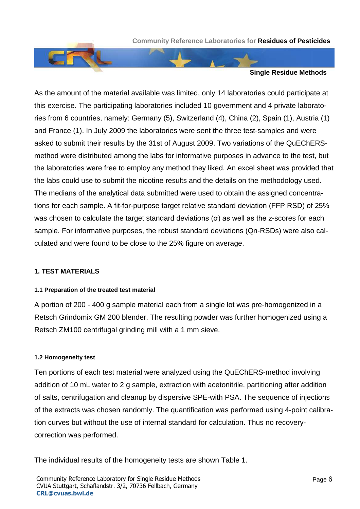



As the amount of the material available was limited, only 14 laboratories could participate at this exercise. The participating laboratories included 10 government and 4 private laboratories from 6 countries, namely: Germany (5), Switzerland (4), China (2), Spain (1), Austria (1) and France (1). In July 2009 the laboratories were sent the three test-samples and were asked to submit their results by the 31st of August 2009. Two variations of the QuEChERSmethod were distributed among the labs for informative purposes in advance to the test, but the laboratories were free to employ any method they liked. An excel sheet was provided that the labs could use to submit the nicotine results and the details on the methodology used. The medians of the analytical data submitted were used to obtain the assigned concentrations for each sample. A fit-for-purpose target relative standard deviation (FFP RSD) of 25% was chosen to calculate the target standard deviations ( $\sigma$ ) as well as the z-scores for each sample. For informative purposes, the robust standard deviations (Qn-RSDs) were also calculated and were found to be close to the 25% figure on average.

#### **1. TEST MATERIALS**

#### **1.1 Preparation of the treated test material**

A portion of 200 - 400 g sample material each from a single lot was pre-homogenized in a Retsch Grindomix GM 200 blender. The resulting powder was further homogenized using a Retsch ZM100 centrifugal grinding mill with a 1 mm sieve.

#### **1.2 Homogeneity test**

Ten portions of each test material were analyzed using the QuEChERS-method involving addition of 10 mL water to 2 g sample, extraction with acetonitrile, partitioning after addition of salts, centrifugation and cleanup by dispersive SPE-with PSA. The sequence of injections of the extracts was chosen randomly. The quantification was performed using 4-point calibration curves but without the use of internal standard for calculation. Thus no recoverycorrection was performed.

The individual results of the homogeneity tests are shown Table 1.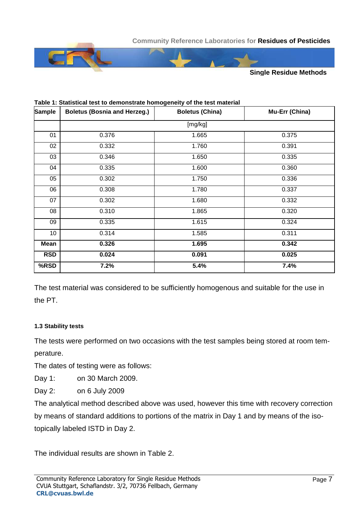

| <b>Sample</b>   | <b>Boletus (Bosnia and Herzeg.)</b> | <b>Boletus (China)</b> | Mu-Err (China) |
|-----------------|-------------------------------------|------------------------|----------------|
|                 |                                     | [mg/kg]                |                |
| 01              | 0.376                               | 1.665                  | 0.375          |
| 02              | 0.332                               | 1.760                  | 0.391          |
| 03              | 0.346                               | 1.650                  | 0.335          |
| 04              | 0.335                               | 1.600                  | 0.360          |
| 05              | 0.302                               | 1.750                  | 0.336          |
| 06              | 0.308                               | 1.780                  | 0.337          |
| 07              | 0.302                               | 1.680                  | 0.332          |
| 08              | 0.310                               | 1.865                  | 0.320          |
| 09              | 0.335                               | 1.615                  | 0.324          |
| 10 <sup>1</sup> | 0.314                               | 1.585                  | 0.311          |
| Mean            | 0.326                               | 1.695                  | 0.342          |
| <b>RSD</b>      | 0.024                               | 0.091                  | 0.025          |
| %RSD            | 7.2%                                | 5.4%                   | 7.4%           |

#### **Table 1: Statistical test to demonstrate homogeneity of the test material**

The test material was considered to be sufficiently homogenous and suitable for the use in the PT.

#### **1.3 Stability tests**

The tests were performed on two occasions with the test samples being stored at room temperature.

The dates of testing were as follows:

Day 1: on 30 March 2009.

Day 2: on 6 July 2009

The analytical method described above was used, however this time with recovery correction by means of standard additions to portions of the matrix in Day 1 and by means of the isotopically labeled ISTD in Day 2.

The individual results are shown in Table 2.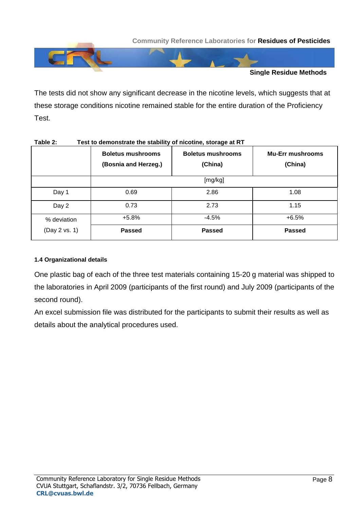

The tests did not show any significant decrease in the nicotine levels, which suggests that at these storage conditions nicotine remained stable for the entire duration of the Proficiency Test.

|               | <b>Boletus mushrooms</b><br>(Bosnia and Herzeg.) | <b>Boletus mushrooms</b><br>(China) | <b>Mu-Err mushrooms</b><br>(China) |  |  |  |  |  |  |
|---------------|--------------------------------------------------|-------------------------------------|------------------------------------|--|--|--|--|--|--|
|               | [mg/kg]                                          |                                     |                                    |  |  |  |  |  |  |
| Day 1         | 0.69                                             | 2.86                                | 1.08                               |  |  |  |  |  |  |
| Day 2         | 0.73                                             | 2.73                                | 1.15                               |  |  |  |  |  |  |
| % deviation   | $+5.8%$                                          | $-4.5%$                             | $+6.5%$                            |  |  |  |  |  |  |
| (Day 2 vs. 1) | <b>Passed</b>                                    | <b>Passed</b>                       | <b>Passed</b>                      |  |  |  |  |  |  |

#### **Table 2: Test to demonstrate the stability of nicotine, storage at RT**

#### **1.4 Organizational details**

One plastic bag of each of the three test materials containing 15-20 g material was shipped to the laboratories in April 2009 (participants of the first round) and July 2009 (participants of the second round).

An excel submission file was distributed for the participants to submit their results as well as details about the analytical procedures used.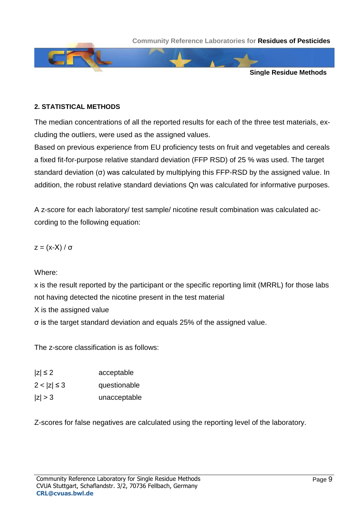

#### **2. STATISTICAL METHODS**

The median concentrations of all the reported results for each of the three test materials, excluding the outliers, were used as the assigned values.

Based on previous experience from EU proficiency tests on fruit and vegetables and cereals a fixed fit-for-purpose relative standard deviation (FFP RSD) of 25 % was used. The target standard deviation ( $\sigma$ ) was calculated by multiplying this FFP-RSD by the assigned value. In addition, the robust relative standard deviations Qn was calculated for informative purposes.

A z-score for each laboratory/ test sample/ nicotine result combination was calculated according to the following equation:

$$
z = (x-X) / \sigma
$$

Where:

x is the result reported by the participant or the specific reporting limit (MRRL) for those labs not having detected the nicotine present in the test material

X is the assigned value

-he target standard deviation and equals 25% of the assigned value.

The z-score classification is as follows:

| $ z  \leq 2$     | acceptable   |
|------------------|--------------|
| $2 <  z  \leq 3$ | questionable |
| z  > 3           | unacceptable |

Z-scores for false negatives are calculated using the reporting level of the laboratory.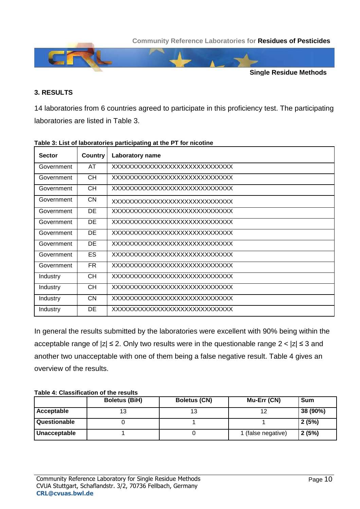

#### **3. RESULTS**

14 laboratories from 6 countries agreed to participate in this proficiency test. The participating laboratories are listed in Table 3.

| <b>Sector</b> | Country   | <b>Laboratory name</b>         |
|---------------|-----------|--------------------------------|
| Government    | AT        | XXXXXXXXXXXXXXXXXXXXXXXXXXXXXX |
| Government    | CH.       | XXXXXXXXXXXXXXXXXXXXXXXXXXXXXX |
| Government    | CH.       | XXXXXXXXXXXXXXXXXXXXXXXXXXXXXX |
| Government    | CN.       | XXXXXXXXXXXXXXXXXXXXXXXXXXXXXX |
| Government    | <b>DE</b> | XXXXXXXXXXXXXXXXXXXXXXXXXXXXXX |
| Government    | DE        | XXXXXXXXXXXXXXXXXXXXXXXXXXXXXX |
| Government    | DE        | XXXXXXXXXXXXXXXXXXXXXXXXXXXXXX |
| Government    | <b>DE</b> | XXXXXXXXXXXXXXXXXXXXXXXXXXXXXX |
| Government    | ES        | XXXXXXXXXXXXXXXXXXXXXXXXXXXXXX |
| Government    | <b>FR</b> | XXXXXXXXXXXXXXXXXXXXXXXXXXXXXX |
| Industry      | <b>CH</b> | XXXXXXXXXXXXXXXXXXXXXXXXXXXXXX |
| Industry      | <b>CH</b> | XXXXXXXXXXXXXXXXXXXXXXXXXXXXXX |
| Industry      | <b>CN</b> | XXXXXXXXXXXXXXXXXXXXXXXXXXXXXX |
| Industry      | DE        | XXXXXXXXXXXXXXXXXXXXXXXXXXXXXX |

#### **Table 3: List of laboratories participating at the PT for nicotine**

In general the results submitted by the laboratories were excellent with 90% being within the acceptable range of  $|z| \le 2$ . Only two results were in the questionable range  $2 < |z| \le 3$  and another two unacceptable with one of them being a false negative result. Table 4 gives an overview of the results.

#### **Table 4: Classification of the results**

|              | <b>Boletus (BiH)</b> | <b>Boletus (CN)</b> | Mu-Err (CN)        | <b>Sum</b> |
|--------------|----------------------|---------------------|--------------------|------------|
| Acceptable   | 13                   |                     |                    | 38 (90%)   |
| Questionable |                      |                     |                    | 2(5%)      |
| Unacceptable |                      |                     | 1 (false negative) | 2(5%)      |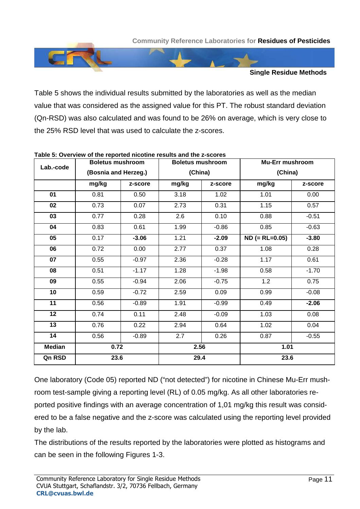

Table 5 shows the individual results submitted by the laboratories as well as the median value that was considered as the assigned value for this PT. The robust standard deviation (Qn-RSD) was also calculated and was found to be 26% on average, which is very close to the 25% RSD level that was used to calculate the z-scores.

| Lab.-code       | <b>Boletus mushroom</b> |         |                 | <b>Boletus mushroom</b> | <b>Mu-Err mushroom</b> |         |  |
|-----------------|-------------------------|---------|-----------------|-------------------------|------------------------|---------|--|
|                 | (Bosnia and Herzeg.)    |         |                 | (China)                 | (China)                |         |  |
|                 | mg/kg<br>z-score        |         | mg/kg           | z-score                 | mg/kg                  | z-score |  |
| 01              | 0.81                    | 0.50    | 3.18            | 1.02                    | 1.01                   | 0.00    |  |
| 02              | 0.73                    | 0.07    | 2.73            | 0.31                    | 1.15                   | 0.57    |  |
| 03              | 0.77                    | 0.28    | 2.6             | 0.10                    | 0.88                   | $-0.51$ |  |
| 04              | 0.83<br>0.61            |         | 1.99            | $-0.86$                 | 0.85                   | $-0.63$ |  |
| 05              | 0.17                    | $-3.06$ | 1.21            | $-2.09$                 | $ND (= RL=0.05)$       | $-3.80$ |  |
| 06              | 0.72                    | 0.00    | 2.77<br>2.36    | 0.37                    | 1.08                   | 0.28    |  |
| 07              | 0.55                    | $-0.97$ |                 | $-0.28$                 | 1.17                   | 0.61    |  |
| 08              | 0.51                    | $-1.17$ | 1.28<br>$-1.98$ |                         | 0.58                   | $-1.70$ |  |
| 09              | 0.55                    | $-0.94$ | 2.06            | $-0.75$                 | 1.2                    | 0.75    |  |
| 10              | 0.59                    | $-0.72$ | 2.59            | 0.09                    | 0.99                   | $-0.08$ |  |
| $\overline{11}$ | 0.56                    | $-0.89$ | 1.91            | $-0.99$                 | 0.49                   | $-2.06$ |  |
| 12              | 0.74                    | 0.11    | 2.48            | $-0.09$                 | 1.03                   | 0.08    |  |
| $\overline{13}$ | 0.76                    | 0.22    | 2.94            | 0.64                    | 1.02                   | 0.04    |  |
| 14              | 0.56                    | $-0.89$ | 2.7             | 0.26                    | 0.87                   | $-0.55$ |  |
| <b>Median</b>   | 0.72                    |         |                 | 2.56                    | 1.01                   |         |  |
| Qn RSD          | 23.6                    |         |                 | 29.4                    | 23.6                   |         |  |

#### **Table 5: Overview of the reported nicotine results and the z-scores**

One laboratory (Code 05) reported ND ("not detected") for nicotine in Chinese Mu-Err mushroom test-sample giving a reporting level (RL) of 0.05 mg/kg. As all other laboratories reported positive findings with an average concentration of 1,01 mg/kg this result was considered to be a false negative and the z-score was calculated using the reporting level provided by the lab.

The distributions of the results reported by the laboratories were plotted as histograms and can be seen in the following Figures 1-3.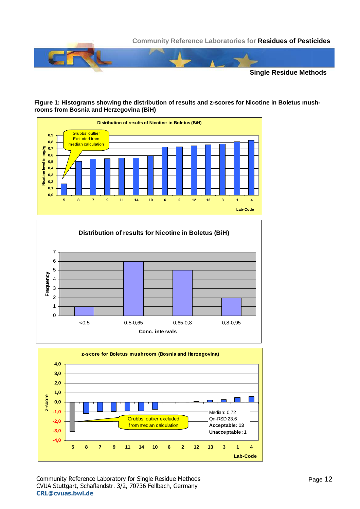

#### **Figure 1: Histograms showing the distribution of results and z-scores for Nicotine in Boletus mushrooms from Bosnia and Herzegovina (BiH)**





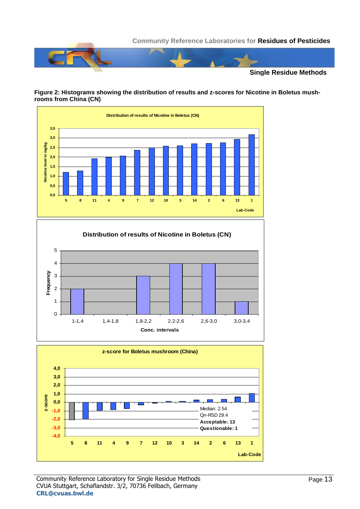

#### **Figure 2: Histograms showing the distribution of results and z-scores for Nicotine in Boletus mushrooms from China (CN)**







#### Community Reference Laboratory for Single Residue Methods CVUA Stuttgart, Schaflandstr. 3/2, 70736 Fellbach, Germany **CRL@cvuas.bwl.de**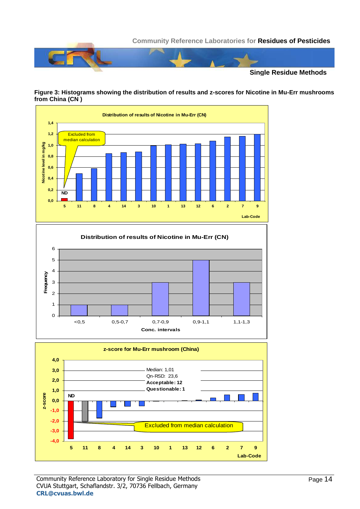







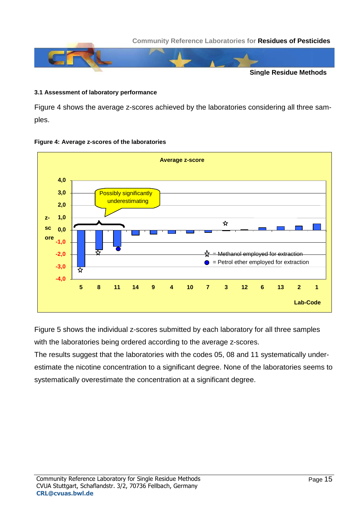

#### **3.1 Assessment of laboratory performance**

Figure 4 shows the average z-scores achieved by the laboratories considering all three samples.



#### **Figure 4: Average z-scores of the laboratories**

Figure 5 shows the individual z-scores submitted by each laboratory for all three samples with the laboratories being ordered according to the average z-scores.

The results suggest that the laboratories with the codes 05, 08 and 11 systematically underestimate the nicotine concentration to a significant degree. None of the laboratories seems to systematically overestimate the concentration at a significant degree.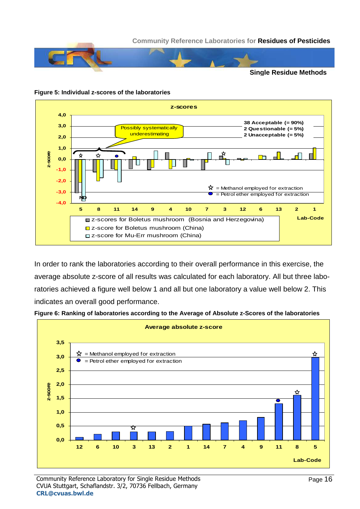

#### **Figure 5: Individual z-scores of the laboratories**



In order to rank the laboratories according to their overall performance in this exercise, the average absolute z-score of all results was calculated for each laboratory. All but three laboratories achieved a figure well below 1 and all but one laboratory a value well below 2. This indicates an overall good performance.



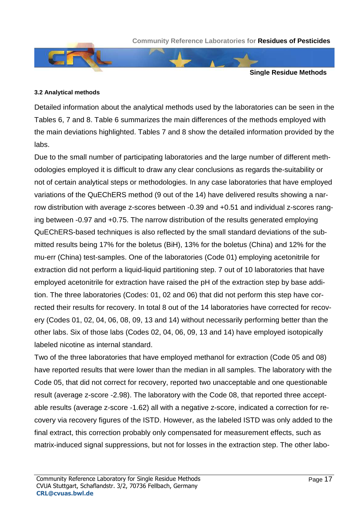

#### **3.2 Analytical methods**

Detailed information about the analytical methods used by the laboratories can be seen in the Tables 6, 7 and 8. Table 6 summarizes the main differences of the methods employed with the main deviations highlighted. Tables 7 and 8 show the detailed information provided by the labs.

Due to the small number of participating laboratories and the large number of different methodologies employed it is difficult to draw any clear conclusions as regards the-suitability or not of certain analytical steps or methodologies. In any case laboratories that have employed variations of the QuEChERS method (9 out of the 14) have delivered results showing a narrow distribution with average z-scores between -0.39 and +0.51 and individual z-scores ranging between -0.97 and +0.75. The narrow distribution of the results generated employing QuEChERS-based techniques is also reflected by the small standard deviations of the submitted results being 17% for the boletus (BiH), 13% for the boletus (China) and 12% for the mu-err (China) test-samples. One of the laboratories (Code 01) employing acetonitrile for extraction did not perform a liquid-liquid partitioning step. 7 out of 10 laboratories that have employed acetonitrile for extraction have raised the pH of the extraction step by base addition. The three laboratories (Codes: 01, 02 and 06) that did not perform this step have corrected their results for recovery. In total 8 out of the 14 laboratories have corrected for recovery (Codes 01, 02, 04, 06, 08, 09, 13 and 14) without necessarily performing better than the other labs. Six of those labs (Codes 02, 04, 06, 09, 13 and 14) have employed isotopically labeled nicotine as internal standard.

Two of the three laboratories that have employed methanol for extraction (Code 05 and 08) have reported results that were lower than the median in all samples. The laboratory with the Code 05, that did not correct for recovery, reported two unacceptable and one questionable result (average z-score -2.98). The laboratory with the Code 08, that reported three acceptable results (average z-score -1.62) all with a negative z-score, indicated a correction for recovery via recovery figures of the ISTD. However, as the labeled ISTD was only added to the final extract, this correction probably only compensated for measurement effects, such as matrix-induced signal suppressions, but not for losses in the extraction step. The other labo-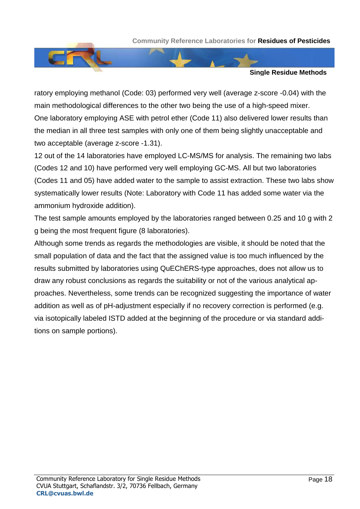



ratory employing methanol (Code: 03) performed very well (average z-score -0.04) with the main methodological differences to the other two being the use of a high-speed mixer. One laboratory employing ASE with petrol ether (Code 11) also delivered lower results than the median in all three test samples with only one of them being slightly unacceptable and two acceptable (average z-score -1.31).

12 out of the 14 laboratories have employed LC-MS/MS for analysis. The remaining two labs (Codes 12 and 10) have performed very well employing GC-MS. All but two laboratories (Codes 11 and 05) have added water to the sample to assist extraction. These two labs show systematically lower results (Note: Laboratory with Code 11 has added some water via the ammonium hydroxide addition).

The test sample amounts employed by the laboratories ranged between 0.25 and 10 g with 2 g being the most frequent figure (8 laboratories).

Although some trends as regards the methodologies are visible, it should be noted that the small population of data and the fact that the assigned value is too much influenced by the results submitted by laboratories using QuEChERS-type approaches, does not allow us to draw any robust conclusions as regards the suitability or not of the various analytical approaches. Nevertheless, some trends can be recognized suggesting the importance of water addition as well as of pH-adjustment especially if no recovery correction is performed (e.g. via isotopically labeled ISTD added at the beginning of the procedure or via standard additions on sample portions).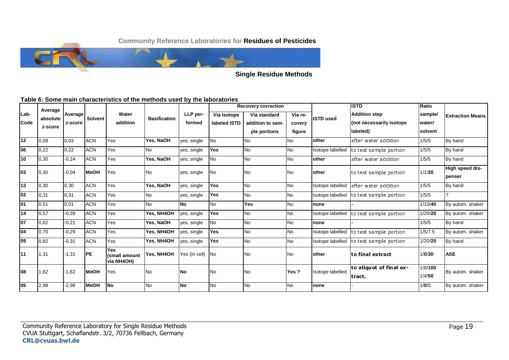

**Single Residue Methods**

#### **Table 6: Some main characteristics of the methods used by the laboratories**

|                 | Average  |         |                |                                    |                     |               |              | <b>Recovery correction</b> |           |                                  | <b>ISTD</b>                       | Ratio   |                           |
|-----------------|----------|---------|----------------|------------------------------------|---------------------|---------------|--------------|----------------------------|-----------|----------------------------------|-----------------------------------|---------|---------------------------|
| ILab-           | absolute | Average | <b>Solvent</b> | Water                              | <b>Basification</b> | LLP per-      | Via Isotope  | Via standard               | Via re-   | <b>ISTD used</b>                 | <b>Addition step</b>              | sample/ | <b>Extraction Means</b>   |
| <b>Code</b>     | z-score  | z-score |                | addition                           |                     | formed        | labeled ISTD | addition to sam-           | covery    |                                  | (not necessarily isotope          | water/  |                           |
|                 |          |         |                |                                    |                     |               |              | ple portions               | figure    |                                  | labeled)                          | solvent |                           |
| $\overline{12}$ | 0.09     | 0,03    | <b>ACN</b>     | Yes                                | Yes, NaOH           | yes, single   | <b>No</b>    | <b>No</b>                  | <b>No</b> | other<br>after water addition    |                                   | 1/5/5   | By hand                   |
| 06              | 0,22     | 0,22    | <b>ACN</b>     | Yes                                | <b>No</b>           | yes, single   | Yes          | <b>No</b>                  | <b>No</b> | Isotope labelled                 | to test sample portion            | 1/5/5   | By hand                   |
| 10              | 0,30     | $-0,24$ | <b>ACN</b>     | Yes                                | Yes, NaOH           | yes, single   | No           | <b>No</b>                  | <b>No</b> | other                            | after water addition              | 1/5/5   | By hand                   |
| 103             | 0,30     | $-0.04$ | <b>MeOH</b>    | Yes                                | No                  | yes, single   | No           | No                         | <b>No</b> | lother<br>to test sample portion |                                   | 1/1/20  | High speed dis-<br>penser |
| $\overline{13}$ | 0,30     | 0,30    | <b>ACN</b>     | Yes                                | Yes, NaOH           | yes, single   | <b>Yes</b>   | <b>No</b>                  | <b>No</b> | Isotope labelled                 | lafter water addition             | 1/5/5   | By hand                   |
| 02              | 0,31     | 0,31    | <b>ACN</b>     | Yes                                | No                  | yes, single   | Yes          | <b>No</b>                  | <b>No</b> | <b>Isotope labelled</b>          | to test sample portion            | 1/5/5   | $\mathcal{P}$             |
| $\overline{01}$ | 0,51     | 0,51    | <b>ACN</b>     | Yes                                | <b>No</b>           | <b>No</b>     | <b>No</b>    | <b>Yes</b>                 | <b>No</b> | none                             |                                   | 1/10/40 | By autom. shaker          |
| 14              | 0,57     | $-0.39$ | <b>ACN</b>     | Yes                                | Yes, NH4OH          | yes, single   | Yes          | <b>No</b>                  | <b>No</b> | Isotope labelled                 | to test sample portion            | 1/20/20 | By autom. shaker          |
| $\overline{07}$ | 0,62     | $-0.21$ | <b>ACN</b>     | Yes                                | Yes, NaOH           | yes, single   | <b>No</b>    | <b>No</b>                  | <b>No</b> | none                             |                                   | 1/5/5   | By hand                   |
| 04              | 0,70     | $-0,29$ | <b>ACN</b>     | Yes                                | Yes, NH4OH          | yes, single   | Yes          | <b>No</b>                  | <b>No</b> | Isotope labelled                 | to test sample portion            | 1/5/7.5 | By autom. shaker          |
| 09              | 0,82     | $-0,31$ | <b>ACN</b>     | Yes                                | Yes, NH4OH          | yes, single   | Yes          | No                         | <b>No</b> | Isotope labelled                 | to test sample portion            | 1/20/20 | By hand                   |
| 11              | 1,31     | $-1,31$ | <b>IPE</b>     | Yes<br>(small amount<br>via NH4OH) | Yes, NH4OH          | Yes (in cell) | <b>No</b>    | <b>No</b>                  | <b>No</b> | other                            | lto final extract                 |         | <b>ASE</b>                |
| 108             | 1,62     | $-1.62$ | <b>MeOH</b>    | Yes                                | No.                 | No            | <b>No</b>    | No                         | Yes?      | <b>Isotope labelled</b>          | to aliquot of final ex-<br>tract. |         | By autom. shaker          |
| $\overline{05}$ | 2,98     | $-2,98$ | <b>MeOH</b>    | <b>No</b>                          | <b>No</b>           | <b>No</b>     | <b>No</b>    | <b>No</b>                  | <b>No</b> | none                             |                                   | 1/0/5   | By autom. shaker          |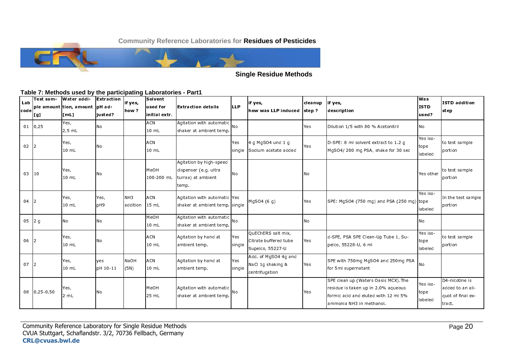

**Single Residue Methods** 

#### Table 7: Methods used by the participating Laboratories - Part1

| Lab<br> code | Test sam-<br>[[g] | <b>Water addi-</b><br> ple amount tion, amount  pH ad-<br>[ml] | Extraction<br>iusted? | if yes,<br>how?             | Solvent<br>used for<br>initial extr. | Extraction details                                                              | <b>ILLP</b>          | if yes,<br>how was LLP induced   step ?                         | cleanup      | lif yes,<br>description                                                                                                                         | lwas<br><b>ISTD</b><br>used? | ISTD addition<br>step                                             |
|--------------|-------------------|----------------------------------------------------------------|-----------------------|-----------------------------|--------------------------------------|---------------------------------------------------------------------------------|----------------------|-----------------------------------------------------------------|--------------|-------------------------------------------------------------------------------------------------------------------------------------------------|------------------------------|-------------------------------------------------------------------|
|              | $01 \mid 0,25$    | Yes,<br>$2,5$ mL                                               | <b>No</b>             |                             | ACN<br>10 mL                         | Agitation with automatic<br>shaker at ambient temp.                             | <b>No</b>            |                                                                 | Yes          | Dilution 1/5 with 80 % Acetonitril                                                                                                              | <b>No</b>                    |                                                                   |
| $02$ 2       |                   | Yes,<br>10 mL                                                  | Νo                    |                             | ACN<br>10 mL                         |                                                                                 | <b>Yes</b><br>single | $4$ g MgSO4 und 1 g<br>Sodium acetate added                     | Yes          | D-SPE: 8 ml solvent extract to 1.2 g<br>MgSO4/200 mg PSA, shake for 30 sec                                                                      | Yes iso-<br>tope<br>labeled  | to test sample<br>portion                                         |
| $03$  10     |                   | Yes,<br>10 mL                                                  | No                    |                             | MeOH<br>100-200 mL                   | Agitation by high-speed<br>dispenser (e.g. ultra<br>turrax) at ambient<br>temp. | <b>No</b>            |                                                                 | <b>No</b>    |                                                                                                                                                 | Yes other                    | to test sample<br>portion                                         |
| $04$ 2       |                   | Yes,<br>10 mL                                                  | Yes,<br>pH9           | NH <sub>3</sub><br>addition | <b>ACN</b><br>15 mL                  | Agitation with automatic Yes<br>shaker at ambient temp. single                  |                      | MgSO4 $(6 q)$                                                   | Yes          | SPE: MgSO4 (750 mg) and PSA (250 mg) tope                                                                                                       | Yes iso<br>labeled           | In the test sample<br>portion                                     |
| $05$ 2 g     |                   | N <sub>o</sub>                                                 | No                    |                             | MeOH<br>$10 \, \text{m}$ L           | Agitation with automatic<br>shaker at ambient temp.                             | No                   |                                                                 | <b>No</b>    |                                                                                                                                                 | No                           |                                                                   |
| 06           | 12                | Yes,<br>10 mL                                                  | No                    |                             | <b>ACN</b><br>$10 \, \text{m}$ L     | Agitation by hand at<br>ambient temp.                                           | Yes<br>single        | OuEChERS salt mix,<br>Citrate buffered tube<br>Supelco, 55227-U | <b>I</b> Yes | d-SPE, PSA SPE Clean-Up Tube 1, Su-<br>pelco, 55228-U, 6 ml                                                                                     | Yes iso<br>tope<br>labeled   | to test sample<br>portion                                         |
| 07           | 12                | Yes,<br>10 mL                                                  | yes<br>DH 10-11       | <b>NaOH</b><br>(5N)         | <b>ACN</b><br>10 mL                  | Agitation by hand at<br>ambient temp.                                           | Yes<br>single        | Add. of MgSO4 4g and<br>NaCl 1g shaking &<br>centrifugation     | Yes          | SPE with 750mg MgSO4 and 250mg PSA<br>for 5ml supernatant                                                                                       | No                           |                                                                   |
|              | 08 0 25 0 50      | Yes,<br>2 mL                                                   | No                    |                             | МеОН<br>25 mL                        | Agitation with automatic<br>shaker at ambient temp.                             | <b>No</b>            |                                                                 | Yes          | SPE clean up (Waters Oasis MCX). The<br>residue is taken up in 2.0% aqueous<br>formic acid and eluted with 12 ml 5%<br>ammonia NH3 in methanol. | Yes iso-<br>tope<br>labeled  | D4-nicotine is<br>added to an ali-<br>quot of final ex-<br>tract. |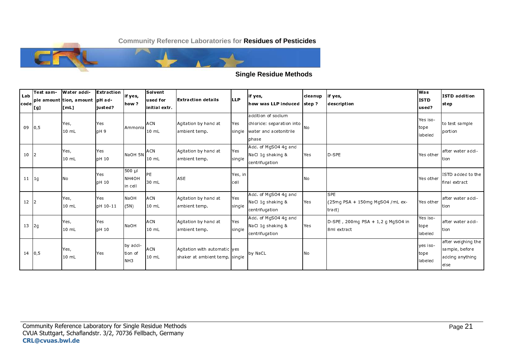

#### **Single Residue Methods**

| Lab<br>code   | Test sam-<br> [g] | <b>Water addi-</b><br> ple amount tion, amount  pH ad-<br> [ mL ] | Extraction<br>ljusted? | if yes,<br>how ?                           | Solvent<br>lused for<br>initial extr. | <b>IExtraction details</b>                                     | <b>LLP</b>      | if yes,<br>how was LLP induced 1step?                                              | cleanup     | lif yes,<br>description                                   | lwas<br><b>ISTD</b><br>lused? | <b>ISTD</b> addition<br>step                                    |
|---------------|-------------------|-------------------------------------------------------------------|------------------------|--------------------------------------------|---------------------------------------|----------------------------------------------------------------|-----------------|------------------------------------------------------------------------------------|-------------|-----------------------------------------------------------|-------------------------------|-----------------------------------------------------------------|
| $09 \mid 0,5$ |                   | Yes,<br>10 mL                                                     | Yes<br>DH <sub>9</sub> | Ammonia                                    | <b>ACN</b><br>10 mL                   | Agitation by hand at<br>ambient temp.                          | Yes<br>single   | addition of sodium<br>chloride: separation into<br>water and acetonitrile<br>phase | <b>I</b> NO |                                                           | Yes iso-<br>tope<br>labeled   | to test sample<br>portion                                       |
| 10            | 2                 | Yes,<br>10 mL                                                     | Yes<br>DH 10           | NaOH 5N                                    | <b>ACN</b><br>10 mL                   | Agitation by hand at<br>ambient temp.                          | Yes<br>single   | Add. of MgSO4 4g and<br>NaCl 1g shaking &<br>centrifugation                        | Yes         | ID-SPE                                                    | Yes other                     | lafter water addi-<br>ltion                                     |
| $11 \mid 19$  |                   | <b>No</b>                                                         | Yes<br>DH 10           | $500 \mu$<br>NH <sub>4</sub> OH<br>in cell | PE<br>30 mL                           | <b>ASE</b>                                                     | Yes, in<br>cell |                                                                                    | No          |                                                           | Yes other                     | ISTD added to the<br>final extract                              |
| $12 \mid 2$   |                   | Yes,<br>10 mL                                                     | Yes<br>DH 10-11        | <b>INaOH</b><br>(5N)                       | <b>ACN</b><br>10 mL                   | Agitation by hand at<br>ambient temp.                          | Yes<br>single   | Add. of MgSO4 4g and<br>NaCl 1g shaking &<br>centrifugation                        | Yes         | <b>SPE</b><br>$(25mg$ PSA + 150mg MgSO4 /mL ex-<br>tract) | Yes other                     | after water addi-<br>ltion                                      |
| $13 \mid 29$  |                   | Yes,<br>$10 \; \mathrm{m}$ L                                      | Yes<br><b>DH 10</b>    | <b>INaOH</b>                               | <b>ACN</b><br>10 mL                   | Agitation by hand at<br>ambient temp.                          | Yes<br>single   | Add. of MgSO4 4g and<br>NaCl 1g shaking &<br>centrifugation                        | Yes         | $D-SPE$ , 200mg PSA + 1,2 g MgSO4 in<br>8ml extract       | Yes iso-<br>tope<br>labeled   | after water addi-<br>ltion                                      |
|               | $14 \mid 0,5$     | Yes,<br>10 mL                                                     | Yes                    | by addi-<br>tion of<br>NH <sub>3</sub>     | <b>ACN</b><br>10 mL                   | Agitation with automatic yes<br>shaker at ambient temp. single |                 | by NaCL                                                                            | No          |                                                           | yes iso-<br>tope<br>labeled   | after weighing the<br>sample, before<br>adding anything<br>else |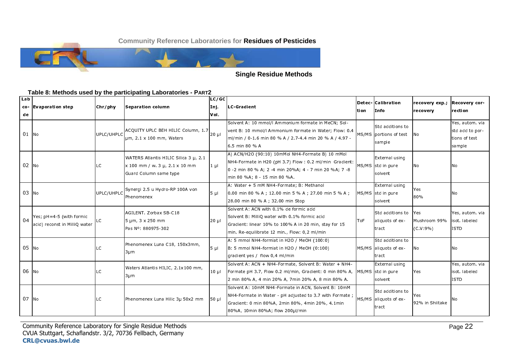

#### **Single Residue Methods**

#### Table 8: Methods used by the participating Laboratories - PART2

| Lab<br>de | co-levaporation step                                      | Chr/phy    | Separation column                                                                                 | LC/GC<br>Ini.<br>IVol. | LC-Gradient                                                                                                                                                                                              | ltion.     | Detec- Calibration<br>IInfo                                 | recovery exp.;<br>recovery         | <b>Recovery cor-</b><br>lrection.                            |
|-----------|-----------------------------------------------------------|------------|---------------------------------------------------------------------------------------------------|------------------------|----------------------------------------------------------------------------------------------------------------------------------------------------------------------------------------------------------|------------|-------------------------------------------------------------|------------------------------------|--------------------------------------------------------------|
| $01$ No   |                                                           | UPLC/UHPLC | ACQUITY UPLC BEH HILIC Column, $1.7$ 20 µ<br>um, 2.1 x 100 mm, Waters                             |                        | Solvent A: 10 mmol/l Ammonium formate in MeCN; Sol-<br>vent B: 10 mmol/l Ammonium formate in Water; Flow: 0.4<br>ml/min / 0-1.6 min 80 % A / 2.7-4.4 min 20 % A / 4.97 -<br>6.5 min 80 % A               |            | <b>Std additions to</b><br>MS/MS portions of test<br>sample | INO.                               | Yes, autom via<br>std add to por-<br>tions of test<br>sample |
| 02 No     |                                                           | LC         | WATERS Atlantis HILIC Silica 3 µ, 2.1<br>x 100 mm / w. 3 µ, 2.1 x 10 mm<br>Guard Column same type | $1 \mu$                | A) ACN/H2O (90:10) 10mMol NH4-Formate B) 10 mMol<br>NH4-Formate in H20 (pH 3.7) Flow: 0.2 ml/min Gradient:<br>0 - 2 min 80 % A; 2 - 4 min 20% A; 4 - 7 min 20 % A; 7 - 8<br>min 80 %A; 8 - 15 min 80 %A. |            | External using<br>MS/MS std in pure<br>solvent              | <b>No</b>                          | I N O                                                        |
| $03$ No   |                                                           | UPLC/UHPLC | Synergi 2.5 u Hydro-RP 100A von<br>Phenomenex                                                     | 5 ul                   | A: Water + 5 mM NH4-Formate; B: Methanol<br>0.00 min 80 % A ; 12.00 min 5 % A ; 27.00 min 5 % A ;<br>28.00 min 80 % A ; 32.00 min Stop                                                                   |            | External using<br>MS/MS std in pure<br>solvent              | Yes<br>80%                         | IN O                                                         |
| 04        | Yes; pH=4-5 (with formic<br>acid) reconst in MilliO water | LC.        | <b>AGILENT. Zorbax SB-C18</b><br>5 µm, 3 x 250 mm<br>Pas Nº: 880975-302                           | $20 \mu$               | Solvent A: ACN with 0.1% de formic acid<br>Solvent B: MilliO water with 0.1% formic acid<br>Gradient: linear 10% to 100% A in 20 min, stay for 15<br>min. Re-equilibrate 12 min., Flow: 0,2 ml/min       | <b>ToF</b> | Std additions to<br>aliquots of ex-<br>tract                | Yes<br>Mushroom 99%<br>$(C.V.9\%)$ | Yes, autom. via<br>isot labeled<br><b>ISTD</b>               |
| 05 No     |                                                           | LС         | Phenomenex Luna C18, 150x3mm,<br>$3 \mu m$                                                        | 5 ul                   | A: 5 mmol NH4-formiat in H2O / MeOH (100:0)<br>B: 5 mmol NH4-formiat in H2O / MeOH (0:100)<br>gradient yes / flow 0,4 ml/min                                                                             |            | Std additions to<br>MS/MS aliquots of ex-<br>tract          | <b>No</b>                          | No                                                           |
| $06$ No   |                                                           | LC         | Waters Atlantis HILIC, 2.1x100 mm,<br>$3 \mu m$                                                   | 10 ul                  | Solvent A: ACN + NH4-Formate, Solvent B: Water + NH4-<br><b>Formate pH 3.7, Flow 0.2 ml/min, Gradient: 0 min 80% A, IMS/MS Istd in pure</b><br>2 min 80% A, 4 min 20% A, 7 min 20% A, 8 min 80% A.       |            | External using<br>solvent                                   | <b>Yes</b>                         | Yes, autom via<br>isot labeled<br><b>ISTD</b>                |
| $07$ No   |                                                           | LС         | Phenomenex Luna Hilic 3µ 50x2 mm                                                                  | 50 µl                  | Solvent A: 10mM NH4-Formate in ACN, Solvent B: 10mM<br>NH4-Formate in Water - pH adjusted to 3.7 with Formate ;<br>Gradient: 0 min 80%A, 2min 80%, 4min 20%, 4.1min<br>80%A, 10min 80%A; flow 200µl/min  |            | Std additions to<br>MS/MS aliquots of ex-<br>tract          | Yes<br>92% in Shiitake             | Νo                                                           |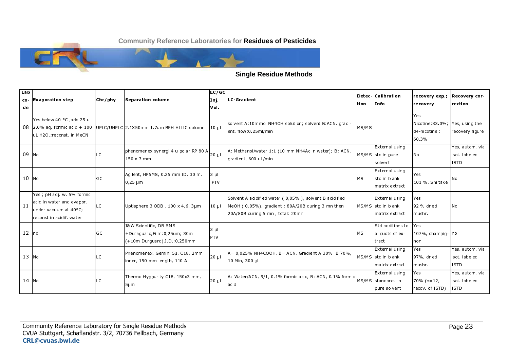

#### **Single Residue Methods**

| Lab<br>de | co- Evaporation step                                                                                         | Chr/phy    | Separation column                                                                           | LC/GC<br>Inj.<br>lvoi. | LC-Gradient                                                                                                                                    | ltion       | Detec- Calibration<br>Info                             | recovery exp;<br>recovery                                       | <b>Recovery cor-</b><br>rection                |
|-----------|--------------------------------------------------------------------------------------------------------------|------------|---------------------------------------------------------------------------------------------|------------------------|------------------------------------------------------------------------------------------------------------------------------------------------|-------------|--------------------------------------------------------|-----------------------------------------------------------------|------------------------------------------------|
|           | Yes below 40 °C , add 25 ul<br>uL H2O ; reconst. in MeCN                                                     |            | 08 2.0% ag. formic acid + 100 UPLC/UHPLC 2.1X50mm 1.7um BEH HILIC column                    | $10 \mu$               | solvent A:10mmol NH4OH solution; solvent B:ACN, gradi-<br>ent, flow: 0.25ml/min                                                                | MS/MS       |                                                        | Yes<br>Nicotine: 83.0%; Yes, using the<br>d4-nicotine:<br>60.3% | recovery figure                                |
| 09 No     |                                                                                                              | <b>ILC</b> | phenomenex synergi 4 u polar RP 80 A<br>$150 \times 3$ mm                                   | $20 \mu$               | A: Methanol/water 1:1 (10 mm NH4Ac in water); B: ACN,<br>gradient, 600 uL/min                                                                  |             | External using<br>MS/MS std in pure<br>solvent         | <b>No</b>                                                       | Yes, autom via<br>isot labeled<br><b>ISTD</b>  |
| $10$ No   |                                                                                                              | GC         | Agilent, HP5MS, 0,25 mm ID, 30 m,<br>$0,25 \mu m$                                           | $3 \mu$<br>PTV         |                                                                                                                                                | <b>IMS</b>  | External using<br>std in blank<br>Imatrix extract      | Yes<br>101 %, Shiitake                                          | No                                             |
| 11        | Yes ; pH adj. w. 5% formic<br>acid in water and evapor.<br>under vacuum at 40°C;<br>reconst in acidif. water | ILC.       | Uptisphere $3$ ODB, $100 \times 4,6$ , $3 \mu m$                                            | 10 ul                  | Solvent A acidified water (0,05%), solvent B acidified<br>MeOH (0,05%), gradient: 80A/20B during 3 mn then<br>20A/80B during 5 mn, total: 20mn |             | External using<br>MS/MS std in blank<br>matrix extract | Yes<br>92 % dried<br>mushr.                                     | IN 0                                           |
| $12$ no   |                                                                                                              | <b>IGC</b> | J&W Scientific, DB-5MS<br>+Duraguard, Film: 0, 25um; 30m<br>(+10m Durguard), I.D.: 0, 250mm | 3 ul<br><b>IPTV</b>    |                                                                                                                                                | <b>I</b> MS | Std additions to<br>aliquots of ex-<br>tract           | <b>Yes</b><br>107%, champig-no<br>non                           |                                                |
| $13$ No   |                                                                                                              | ILC.       | Phenomenex, Gemini 5µ, C18, 2mm<br>inner, 150 mm length, 110 A                              | $20 \mu$               | A= 0,025% NH4COOH, B= ACN, Gradient A 30% B 70%,<br>10 Min, 300 µl                                                                             |             | External using<br>MS/MS std in blank<br>matrix extract | Yes<br>97%, dried<br>mushr.                                     | Yes, autom. via<br>isot labeled<br><b>ISTD</b> |
| $14$ No   |                                                                                                              | ILC.       | Thermo Hyppurity C18, 150x3 mm,<br>$5 \mu m$                                                | $20 \mu$               | A: Water/ACN, 9/1, 0.1% formic acid, B: ACN, 0.1% formic<br>acid                                                                               |             | External using<br>MS/MS standards in<br>pure solvent   | <b>Yes</b><br>$70\%$ (n = 12,<br>recov. of ISTD)                | Yes, autom via<br>isot labeled<br><b>ISTD</b>  |